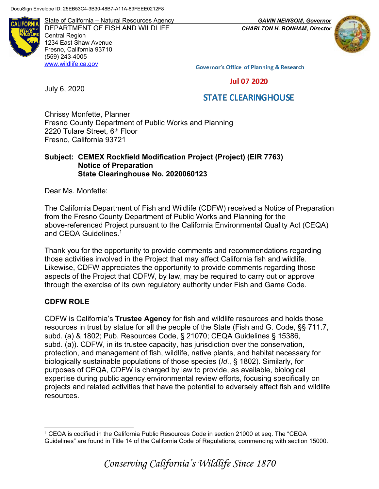**ALIFORN** 

State of California – Natural Resources Agency *GAVIN NEWSOM, Governor* DEPARTMENT OF FISH AND WILDLIFE *CHARLTON H. BONHAM, Director*  Central Region 1234 East Shaw Avenue Fresno, California 93710 (559) 243-4005 [www.wildlife.ca.gov](http://www.wildlife.ca.gov/)



**Governor's Office of Planning & Research** 

**Jul 07 2020** 

### **STATE CLEARINGHOUSE**

Chrissy Monfette, Planner Fresno County Department of Public Works and Planning 2220 Tulare Street, 6<sup>th</sup> Floor Fresno, California 93721

#### **Subject: CEMEX Rockfield Modification Project (Project) (EIR 7763) Notice of Preparation State Clearinghouse No. 2020060123**

Dear Ms. Monfette:

July 6, 2020

The California Department of Fish and Wildlife (CDFW) received a Notice of Preparation from the Fresno County Department of Public Works and Planning for the above-referenced Project pursuant to the California Environmental Quality Act (CEQA) and CEQA Guidelines.<sup>1</sup>

Thank you for the opportunity to provide comments and recommendations regarding those activities involved in the Project that may affect California fish and wildlife. Likewise, CDFW appreciates the opportunity to provide comments regarding those aspects of the Project that CDFW, by law, may be required to carry out or approve through the exercise of its own regulatory authority under Fish and Game Code.

#### **CDFW ROLE**

CDFW is California's **Trustee Agency** for fish and wildlife resources and holds those resources in trust by statue for all the people of the State (Fish and G. Code, §§ 711.7, subd. (a) & 1802; Pub. Resources Code, § 21070; CEQA Guidelines § 15386, subd. (a)). CDFW, in its trustee capacity, has jurisdiction over the conservation, protection, and management of fish, wildlife, native plants, and habitat necessary for biologically sustainable populations of those species (*Id*., § 1802). Similarly, for purposes of CEQA, CDFW is charged by law to provide, as available, biological expertise during public agency environmental review efforts, focusing specifically on projects and related activities that have the potential to adversely affect fish and wildlife resources.

<sup>1</sup> CEQA is codified in the California Public Resources Code in section 21000 et seq. The "CEQA Guidelines" are found in Title 14 of the California Code of Regulations, commencing with section 15000.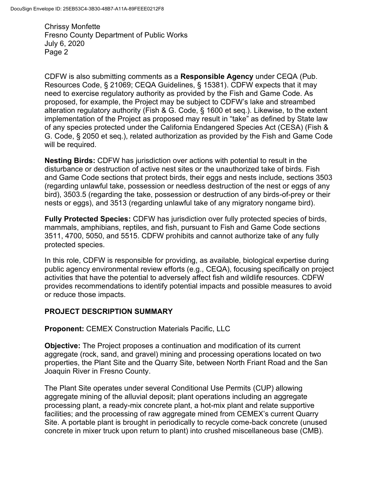CDFW is also submitting comments as a **Responsible Agency** under CEQA (Pub. Resources Code, § 21069; CEQA Guidelines, § 15381). CDFW expects that it may need to exercise regulatory authority as provided by the Fish and Game Code. As proposed, for example, the Project may be subject to CDFW's lake and streambed alteration regulatory authority (Fish & G. Code, § 1600 et seq.). Likewise, to the extent implementation of the Project as proposed may result in "take" as defined by State law of any species protected under the California Endangered Species Act (CESA) (Fish & G. Code, § 2050 et seq.), related authorization as provided by the Fish and Game Code will be required.

**Nesting Birds:** CDFW has jurisdiction over actions with potential to result in the disturbance or destruction of active nest sites or the unauthorized take of birds. Fish and Game Code sections that protect birds, their eggs and nests include, sections 3503 (regarding unlawful take, possession or needless destruction of the nest or eggs of any bird), 3503.5 (regarding the take, possession or destruction of any birds-of-prey or their nests or eggs), and 3513 (regarding unlawful take of any migratory nongame bird).

**Fully Protected Species:** CDFW has jurisdiction over fully protected species of birds, mammals, amphibians, reptiles, and fish, pursuant to Fish and Game Code sections 3511, 4700, 5050, and 5515. CDFW prohibits and cannot authorize take of any fully protected species.

In this role, CDFW is responsible for providing, as available, biological expertise during public agency environmental review efforts (e.g., CEQA), focusing specifically on project activities that have the potential to adversely affect fish and wildlife resources. CDFW provides recommendations to identify potential impacts and possible measures to avoid or reduce those impacts.

# **PROJECT DESCRIPTION SUMMARY**

**Proponent:** CEMEX Construction Materials Pacific, LLC

**Objective:** The Project proposes a continuation and modification of its current aggregate (rock, sand, and gravel) mining and processing operations located on two properties, the Plant Site and the Quarry Site, between North Friant Road and the San Joaquin River in Fresno County.

The Plant Site operates under several Conditional Use Permits (CUP) allowing aggregate mining of the alluvial deposit; plant operations including an aggregate processing plant, a ready-mix concrete plant, a hot-mix plant and relate supportive facilities; and the processing of raw aggregate mined from CEMEX's current Quarry Site. A portable plant is brought in periodically to recycle come-back concrete (unused concrete in mixer truck upon return to plant) into crushed miscellaneous base (CMB).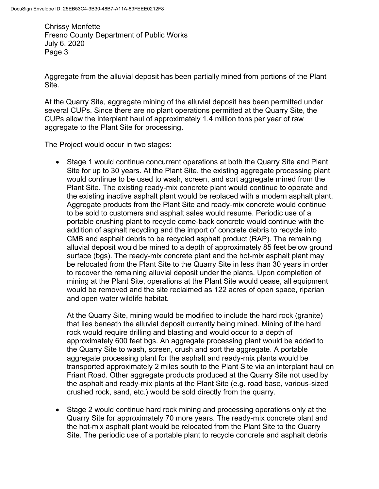Aggregate from the alluvial deposit has been partially mined from portions of the Plant Site.

At the Quarry Site, aggregate mining of the alluvial deposit has been permitted under several CUPs. Since there are no plant operations permitted at the Quarry Site, the CUPs allow the interplant haul of approximately 1.4 million tons per year of raw aggregate to the Plant Site for processing.

The Project would occur in two stages:

• Stage 1 would continue concurrent operations at both the Quarry Site and Plant Site for up to 30 years. At the Plant Site, the existing aggregate processing plant would continue to be used to wash, screen, and sort aggregate mined from the Plant Site. The existing ready-mix concrete plant would continue to operate and the existing inactive asphalt plant would be replaced with a modern asphalt plant. Aggregate products from the Plant Site and ready-mix concrete would continue to be sold to customers and asphalt sales would resume. Periodic use of a portable crushing plant to recycle come-back concrete would continue with the addition of asphalt recycling and the import of concrete debris to recycle into CMB and asphalt debris to be recycled asphalt product (RAP). The remaining alluvial deposit would be mined to a depth of approximately 85 feet below ground surface (bgs). The ready-mix concrete plant and the hot-mix asphalt plant may be relocated from the Plant Site to the Quarry Site in less than 30 years in order to recover the remaining alluvial deposit under the plants. Upon completion of mining at the Plant Site, operations at the Plant Site would cease, all equipment would be removed and the site reclaimed as 122 acres of open space, riparian and open water wildlife habitat.

At the Quarry Site, mining would be modified to include the hard rock (granite) that lies beneath the alluvial deposit currently being mined. Mining of the hard rock would require drilling and blasting and would occur to a depth of approximately 600 feet bgs. An aggregate processing plant would be added to the Quarry Site to wash, screen, crush and sort the aggregate. A portable aggregate processing plant for the asphalt and ready-mix plants would be transported approximately 2 miles south to the Plant Site via an interplant haul on Friant Road. Other aggregate products produced at the Quarry Site not used by the asphalt and ready-mix plants at the Plant Site (e.g. road base, various-sized crushed rock, sand, etc.) would be sold directly from the quarry.

• Stage 2 would continue hard rock mining and processing operations only at the Quarry Site for approximately 70 more years. The ready-mix concrete plant and the hot-mix asphalt plant would be relocated from the Plant Site to the Quarry Site. The periodic use of a portable plant to recycle concrete and asphalt debris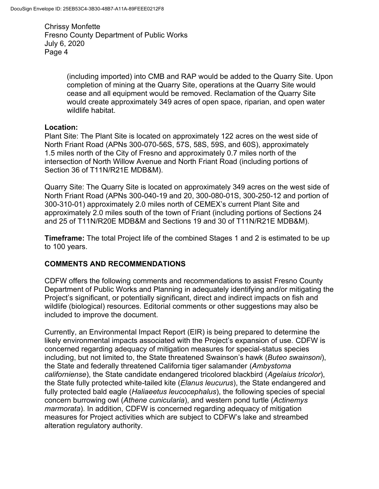> (including imported) into CMB and RAP would be added to the Quarry Site. Upon completion of mining at the Quarry Site, operations at the Quarry Site would cease and all equipment would be removed. Reclamation of the Quarry Site would create approximately 349 acres of open space, riparian, and open water wildlife habitat.

#### **Location:**

Plant Site: The Plant Site is located on approximately 122 acres on the west side of North Friant Road (APNs 300-070-56S, 57S, 58S, 59S, and 60S), approximately 1.5 miles north of the City of Fresno and approximately 0.7 miles north of the intersection of North Willow Avenue and North Friant Road (including portions of Section 36 of T11N/R21E MDB&M).

Quarry Site: The Quarry Site is located on approximately 349 acres on the west side of North Friant Road (APNs 300-040-19 and 20, 300-080-01S, 300-250-12 and portion of 300-310-01) approximately 2.0 miles north of CEMEX's current Plant Site and approximately 2.0 miles south of the town of Friant (including portions of Sections 24 and 25 of T11N/R20E MDB&M and Sections 19 and 30 of T11N/R21E MDB&M).

**Timeframe:** The total Project life of the combined Stages 1 and 2 is estimated to be up to 100 years.

# **COMMENTS AND RECOMMENDATIONS**

CDFW offers the following comments and recommendations to assist Fresno County Department of Public Works and Planning in adequately identifying and/or mitigating the Project's significant, or potentially significant, direct and indirect impacts on fish and wildlife (biological) resources. Editorial comments or other suggestions may also be included to improve the document.

Currently, an Environmental Impact Report (EIR) is being prepared to determine the likely environmental impacts associated with the Project's expansion of use. CDFW is concerned regarding adequacy of mitigation measures for special-status species including, but not limited to, the State threatened Swainson's hawk (*Buteo swainsoni*), the State and federally threatened California tiger salamander (*Ambystoma californiense*), the State candidate endangered tricolored blackbird (*Agelaius tricolor*), the State fully protected white-tailed kite (*Elanus leucurus*), the State endangered and fully protected bald eagle (*Haliaeetus leucocephalus*), the following species of special concern burrowing owl (*Athene cunicularia*), and western pond turtle (*Actinemys marmorata*). In addition, CDFW is concerned regarding adequacy of mitigation measures for Project activities which are subject to CDFW's lake and streambed alteration regulatory authority.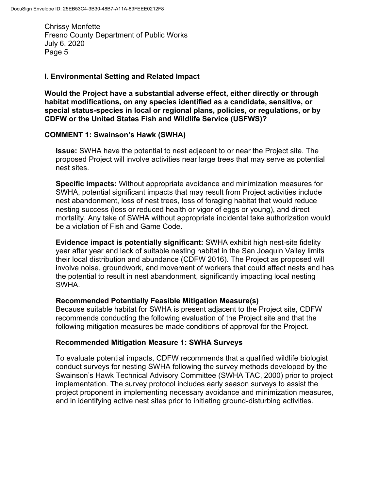#### **I. Environmental Setting and Related Impact**

**Would the Project have a substantial adverse effect, either directly or through habitat modifications, on any species identified as a candidate, sensitive, or special status-species in local or regional plans, policies, or regulations, or by CDFW or the United States Fish and Wildlife Service (USFWS)?**

#### **COMMENT 1: Swainson's Hawk (SWHA)**

**Issue:** SWHA have the potential to nest adjacent to or near the Project site. The proposed Project will involve activities near large trees that may serve as potential nest sites.

**Specific impacts:** Without appropriate avoidance and minimization measures for SWHA, potential significant impacts that may result from Project activities include nest abandonment, loss of nest trees, loss of foraging habitat that would reduce nesting success (loss or reduced health or vigor of eggs or young), and direct mortality. Any take of SWHA without appropriate incidental take authorization would be a violation of Fish and Game Code.

**Evidence impact is potentially significant:** SWHA exhibit high nest-site fidelity year after year and lack of suitable nesting habitat in the San Joaquin Valley limits their local distribution and abundance (CDFW 2016). The Project as proposed will involve noise, groundwork, and movement of workers that could affect nests and has the potential to result in nest abandonment, significantly impacting local nesting SWHA.

#### **Recommended Potentially Feasible Mitigation Measure(s)**

Because suitable habitat for SWHA is present adjacent to the Project site, CDFW recommends conducting the following evaluation of the Project site and that the following mitigation measures be made conditions of approval for the Project.

#### **Recommended Mitigation Measure 1: SWHA Surveys**

To evaluate potential impacts, CDFW recommends that a qualified wildlife biologist conduct surveys for nesting SWHA following the survey methods developed by the Swainson's Hawk Technical Advisory Committee (SWHA TAC, 2000) prior to project implementation. The survey protocol includes early season surveys to assist the project proponent in implementing necessary avoidance and minimization measures, and in identifying active nest sites prior to initiating ground-disturbing activities.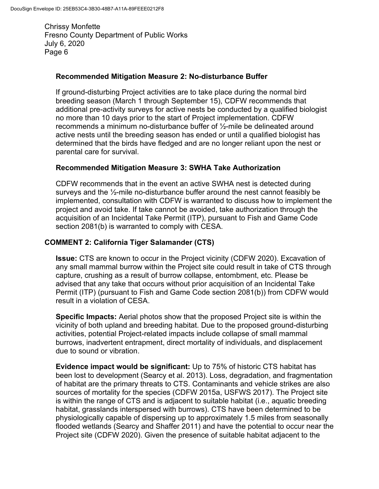### **Recommended Mitigation Measure 2: No-disturbance Buffer**

If ground-disturbing Project activities are to take place during the normal bird breeding season (March 1 through September 15), CDFW recommends that additional pre-activity surveys for active nests be conducted by a qualified biologist no more than 10 days prior to the start of Project implementation. CDFW recommends a minimum no-disturbance buffer of ½-mile be delineated around active nests until the breeding season has ended or until a qualified biologist has determined that the birds have fledged and are no longer reliant upon the nest or parental care for survival.

# **Recommended Mitigation Measure 3: SWHA Take Authorization**

CDFW recommends that in the event an active SWHA nest is detected during surveys and the  $\frac{1}{2}$ -mile no-disturbance buffer around the nest cannot feasibly be implemented, consultation with CDFW is warranted to discuss how to implement the project and avoid take. If take cannot be avoided, take authorization through the acquisition of an Incidental Take Permit (ITP), pursuant to Fish and Game Code section 2081(b) is warranted to comply with CESA.

### **COMMENT 2: California Tiger Salamander (CTS)**

**Issue:** CTS are known to occur in the Project vicinity (CDFW 2020). Excavation of any small mammal burrow within the Project site could result in take of CTS through capture, crushing as a result of burrow collapse, entombment, etc. Please be advised that any take that occurs without prior acquisition of an Incidental Take Permit (ITP) (pursuant to Fish and Game Code section 2081(b)) from CDFW would result in a violation of CESA.

**Specific Impacts:** Aerial photos show that the proposed Project site is within the vicinity of both upland and breeding habitat. Due to the proposed ground-disturbing activities, potential Project-related impacts include collapse of small mammal burrows, inadvertent entrapment, direct mortality of individuals, and displacement due to sound or vibration.

**Evidence impact would be significant:** Up to 75% of historic CTS habitat has been lost to development (Searcy et al. 2013). Loss, degradation, and fragmentation of habitat are the primary threats to CTS. Contaminants and vehicle strikes are also sources of mortality for the species (CDFW 2015a, USFWS 2017). The Project site is within the range of CTS and is adjacent to suitable habitat (i.e., aquatic breeding habitat, grasslands interspersed with burrows). CTS have been determined to be physiologically capable of dispersing up to approximately 1.5 miles from seasonally flooded wetlands (Searcy and Shaffer 2011) and have the potential to occur near the Project site (CDFW 2020). Given the presence of suitable habitat adjacent to the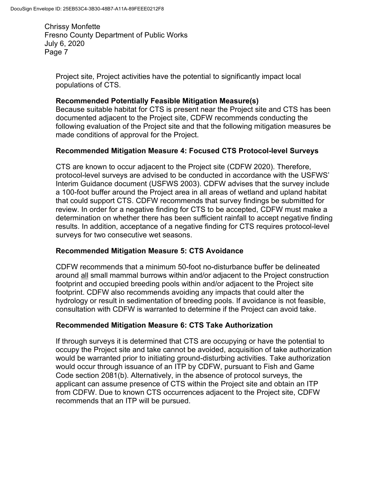Project site, Project activities have the potential to significantly impact local populations of CTS.

### **Recommended Potentially Feasible Mitigation Measure(s)**

Because suitable habitat for CTS is present near the Project site and CTS has been documented adjacent to the Project site, CDFW recommends conducting the following evaluation of the Project site and that the following mitigation measures be made conditions of approval for the Project.

# **Recommended Mitigation Measure 4: Focused CTS Protocol-level Surveys**

CTS are known to occur adjacent to the Project site (CDFW 2020). Therefore, protocol-level surveys are advised to be conducted in accordance with the USFWS' Interim Guidance document (USFWS 2003). CDFW advises that the survey include a 100-foot buffer around the Project area in all areas of wetland and upland habitat that could support CTS. CDFW recommends that survey findings be submitted for review. In order for a negative finding for CTS to be accepted, CDFW must make a determination on whether there has been sufficient rainfall to accept negative finding results. In addition, acceptance of a negative finding for CTS requires protocol-level surveys for two consecutive wet seasons.

# **Recommended Mitigation Measure 5: CTS Avoidance**

CDFW recommends that a minimum 50-foot no-disturbance buffer be delineated around all small mammal burrows within and/or adjacent to the Project construction footprint and occupied breeding pools within and/or adjacent to the Project site footprint. CDFW also recommends avoiding any impacts that could alter the hydrology or result in sedimentation of breeding pools. If avoidance is not feasible, consultation with CDFW is warranted to determine if the Project can avoid take.

# **Recommended Mitigation Measure 6: CTS Take Authorization**

If through surveys it is determined that CTS are occupying or have the potential to occupy the Project site and take cannot be avoided, acquisition of take authorization would be warranted prior to initiating ground-disturbing activities. Take authorization would occur through issuance of an ITP by CDFW, pursuant to Fish and Game Code section 2081(b). Alternatively, in the absence of protocol surveys, the applicant can assume presence of CTS within the Project site and obtain an ITP from CDFW. Due to known CTS occurrences adjacent to the Project site, CDFW recommends that an ITP will be pursued.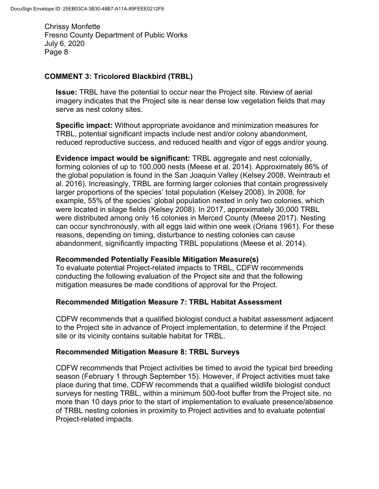### **COMMENT 3: Tricolored Blackbird (TRBL)**

**Issue:** TRBL have the potential to occur near the Project site. Review of aerial imagery indicates that the Project site is near dense low vegetation fields that may serve as nest colony sites.

**Specific impact:** Without appropriate avoidance and minimization measures for TRBL, potential significant impacts include nest and/or colony abandonment, reduced reproductive success, and reduced health and vigor of eggs and/or young.

**Evidence impact would be significant:** TRBL aggregate and nest colonially, forming colonies of up to 100,000 nests (Meese et al. 2014). Approximately 86% of the global population is found in the San Joaquin Valley (Kelsey 2008, Weintraub et al. 2016). Increasingly, TRBL are forming larger colonies that contain progressively larger proportions of the species' total population (Kelsey 2008). In 2008, for example, 55% of the species' global population nested in only two colonies, which were located in silage fields (Kelsey 2008). In 2017, approximately 30,000 TRBL were distributed among only 16 colonies in Merced County (Meese 2017). Nesting can occur synchronously, with all eggs laid within one week (Orians 1961). For these reasons, depending on timing, disturbance to nesting colonies can cause abandonment, significantly impacting TRBL populations (Meese et al. 2014).

#### **Recommended Potentially Feasible Mitigation Measure(s)**

To evaluate potential Project-related impacts to TRBL, CDFW recommends conducting the following evaluation of the Project site and that the following mitigation measures be made conditions of approval for the Project.

#### **Recommended Mitigation Measure 7: TRBL Habitat Assessment**

CDFW recommends that a qualified biologist conduct a habitat assessment adjacent to the Project site in advance of Project implementation, to determine if the Project site or its vicinity contains suitable habitat for TRBL.

#### **Recommended Mitigation Measure 8: TRBL Surveys**

CDFW recommends that Project activities be timed to avoid the typical bird breeding season (February 1 through September 15). However, if Project activities must take place during that time, CDFW recommends that a qualified wildlife biologist conduct surveys for nesting TRBL, within a minimum 500-foot buffer from the Project site, no more than 10 days prior to the start of implementation to evaluate presence/absence of TRBL nesting colonies in proximity to Project activities and to evaluate potential Project-related impacts.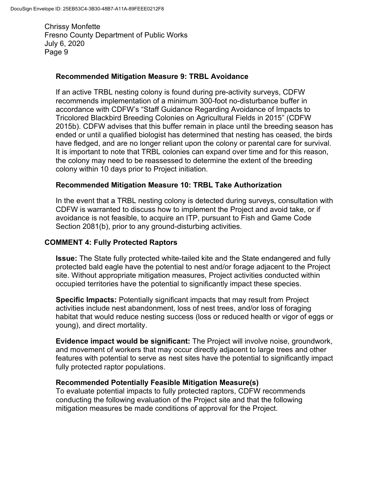### **Recommended Mitigation Measure 9: TRBL Avoidance**

If an active TRBL nesting colony is found during pre-activity surveys, CDFW recommends implementation of a minimum 300-foot no-disturbance buffer in accordance with CDFW's "Staff Guidance Regarding Avoidance of Impacts to Tricolored Blackbird Breeding Colonies on Agricultural Fields in 2015" (CDFW 2015b). CDFW advises that this buffer remain in place until the breeding season has ended or until a qualified biologist has determined that nesting has ceased, the birds have fledged, and are no longer reliant upon the colony or parental care for survival. It is important to note that TRBL colonies can expand over time and for this reason, the colony may need to be reassessed to determine the extent of the breeding colony within 10 days prior to Project initiation.

### **Recommended Mitigation Measure 10: TRBL Take Authorization**

In the event that a TRBL nesting colony is detected during surveys, consultation with CDFW is warranted to discuss how to implement the Project and avoid take, or if avoidance is not feasible, to acquire an ITP, pursuant to Fish and Game Code Section 2081(b), prior to any ground-disturbing activities.

### **COMMENT 4: Fully Protected Raptors**

**Issue:** The State fully protected white-tailed kite and the State endangered and fully protected bald eagle have the potential to nest and/or forage adjacent to the Project site. Without appropriate mitigation measures, Project activities conducted within occupied territories have the potential to significantly impact these species.

**Specific Impacts:** Potentially significant impacts that may result from Project activities include nest abandonment, loss of nest trees, and/or loss of foraging habitat that would reduce nesting success (loss or reduced health or vigor of eggs or young), and direct mortality.

**Evidence impact would be significant:** The Project will involve noise, groundwork, and movement of workers that may occur directly adjacent to large trees and other features with potential to serve as nest sites have the potential to significantly impact fully protected raptor populations.

#### **Recommended Potentially Feasible Mitigation Measure(s)**

To evaluate potential impacts to fully protected raptors, CDFW recommends conducting the following evaluation of the Project site and that the following mitigation measures be made conditions of approval for the Project.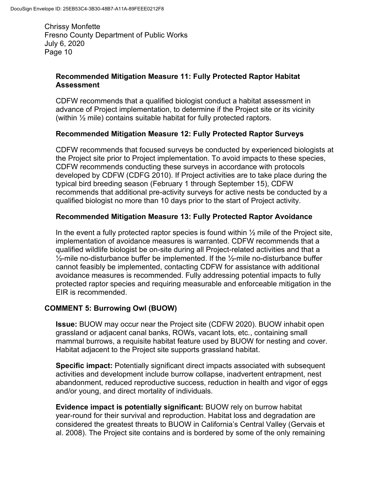# **Recommended Mitigation Measure 11: Fully Protected Raptor Habitat Assessment**

CDFW recommends that a qualified biologist conduct a habitat assessment in advance of Project implementation, to determine if the Project site or its vicinity (within ½ mile) contains suitable habitat for fully protected raptors.

# **Recommended Mitigation Measure 12: Fully Protected Raptor Surveys**

CDFW recommends that focused surveys be conducted by experienced biologists at the Project site prior to Project implementation. To avoid impacts to these species, CDFW recommends conducting these surveys in accordance with protocols developed by CDFW (CDFG 2010). If Project activities are to take place during the typical bird breeding season (February 1 through September 15), CDFW recommends that additional pre-activity surveys for active nests be conducted by a qualified biologist no more than 10 days prior to the start of Project activity.

# **Recommended Mitigation Measure 13: Fully Protected Raptor Avoidance**

In the event a fully protected raptor species is found within  $\frac{1}{2}$  mile of the Project site, implementation of avoidance measures is warranted. CDFW recommends that a qualified wildlife biologist be on-site during all Project-related activities and that a  $\frac{1}{2}$ -mile no-disturbance buffer be implemented. If the  $\frac{1}{2}$ -mile no-disturbance buffer cannot feasibly be implemented, contacting CDFW for assistance with additional avoidance measures is recommended. Fully addressing potential impacts to fully protected raptor species and requiring measurable and enforceable mitigation in the EIR is recommended.

# **COMMENT 5: Burrowing Owl (BUOW)**

**Issue:** BUOW may occur near the Project site (CDFW 2020). BUOW inhabit open grassland or adjacent canal banks, ROWs, vacant lots, etc., containing small mammal burrows, a requisite habitat feature used by BUOW for nesting and cover. Habitat adjacent to the Project site supports grassland habitat.

**Specific impact:** Potentially significant direct impacts associated with subsequent activities and development include burrow collapse, inadvertent entrapment, nest abandonment, reduced reproductive success, reduction in health and vigor of eggs and/or young, and direct mortality of individuals.

**Evidence impact is potentially significant:** BUOW rely on burrow habitat year-round for their survival and reproduction. Habitat loss and degradation are considered the greatest threats to BUOW in California's Central Valley (Gervais et al. 2008). The Project site contains and is bordered by some of the only remaining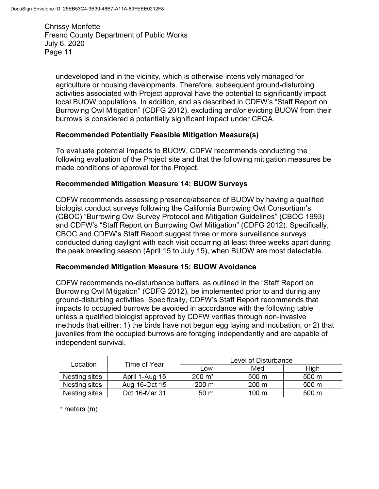undeveloped land in the vicinity, which is otherwise intensively managed for agriculture or housing developments. Therefore, subsequent ground-disturbing activities associated with Project approval have the potential to significantly impact local BUOW populations. In addition, and as described in CDFW's "Staff Report on Burrowing Owl Mitigation" (CDFG 2012), excluding and/or evicting BUOW from their burrows is considered a potentially significant impact under CEQA.

### **Recommended Potentially Feasible Mitigation Measure(s)**

To evaluate potential impacts to BUOW, CDFW recommends conducting the following evaluation of the Project site and that the following mitigation measures be made conditions of approval for the Project.

#### **Recommended Mitigation Measure 14: BUOW Surveys**

CDFW recommends assessing presence/absence of BUOW by having a qualified biologist conduct surveys following the California Burrowing Owl Consortium's (CBOC) "Burrowing Owl Survey Protocol and Mitigation Guidelines" (CBOC 1993) and CDFW's "Staff Report on Burrowing Owl Mitigation" (CDFG 2012). Specifically, CBOC and CDFW's Staff Report suggest three or more surveillance surveys conducted during daylight with each visit occurring at least three weeks apart during the peak breeding season (April 15 to July 15), when BUOW are most detectable.

#### **Recommended Mitigation Measure 15: BUOW Avoidance**

CDFW recommends no-disturbance buffers, as outlined in the "Staff Report on Burrowing Owl Mitigation" (CDFG 2012), be implemented prior to and during any ground-disturbing activities. Specifically, CDFW's Staff Report recommends that impacts to occupied burrows be avoided in accordance with the following table unless a qualified biologist approved by CDFW verifies through non-invasive methods that either: 1) the birds have not begun egg laying and incubation; or 2) that juveniles from the occupied burrows are foraging independently and are capable of independent survival.

| Location      | Time of Year   | Level of Disturbance |       |       |
|---------------|----------------|----------------------|-------|-------|
|               |                | Low                  | Med   | High  |
| Nesting sites | April 1-Aug 15 | $200 \; \text{m}^*$  | 500 m | 500 m |
| Nesting sites | Aug 16-Oct 15  | 200 m                | 200 m | 500 m |
| Nesting sites | Oct 16-Mar 31  | 50 m                 | 100 m | 500 m |

 $*$  meters  $(m)$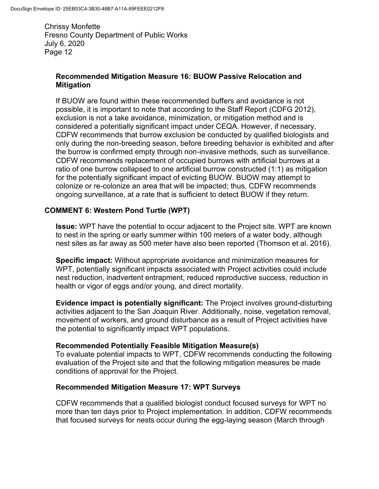### **Recommended Mitigation Measure 16: BUOW Passive Relocation and Mitigation**

If BUOW are found within these recommended buffers and avoidance is not possible, it is important to note that according to the Staff Report (CDFG 2012), exclusion is not a take avoidance, minimization, or mitigation method and is considered a potentially significant impact under CEQA. However, if necessary, CDFW recommends that burrow exclusion be conducted by qualified biologists and only during the non-breeding season, before breeding behavior is exhibited and after the burrow is confirmed empty through non-invasive methods, such as surveillance. CDFW recommends replacement of occupied burrows with artificial burrows at a ratio of one burrow collapsed to one artificial burrow constructed (1:1) as mitigation for the potentially significant impact of evicting BUOW. BUOW may attempt to colonize or re-colonize an area that will be impacted; thus, CDFW recommends ongoing surveillance, at a rate that is sufficient to detect BUOW if they return.

# **COMMENT 6: Western Pond Turtle (WPT)**

**Issue:** WPT have the potential to occur adjacent to the Project site. WPT are known to nest in the spring or early summer within 100 meters of a water body, although nest sites as far away as 500 meter have also been reported (Thomson et al. 2016).

**Specific impact:** Without appropriate avoidance and minimization measures for WPT, potentially significant impacts associated with Project activities could include nest reduction, inadvertent entrapment, reduced reproductive success, reduction in health or vigor of eggs and/or young, and direct mortality.

**Evidence impact is potentially significant:** The Project involves ground-disturbing activities adjacent to the San Joaquin River. Additionally, noise, vegetation removal, movement of workers, and ground disturbance as a result of Project activities have the potential to significantly impact WPT populations.

#### **Recommended Potentially Feasible Mitigation Measure(s)**

To evaluate potential impacts to WPT, CDFW recommends conducting the following evaluation of the Project site and that the following mitigation measures be made conditions of approval for the Project.

#### **Recommended Mitigation Measure 17: WPT Surveys**

CDFW recommends that a qualified biologist conduct focused surveys for WPT no more than ten days prior to Project implementation. In addition, CDFW recommends that focused surveys for nests occur during the egg-laying season (March through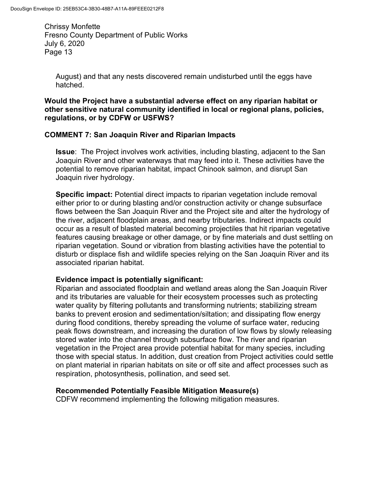August) and that any nests discovered remain undisturbed until the eggs have hatched.

#### **Would the Project have a substantial adverse effect on any riparian habitat or other sensitive natural community identified in local or regional plans, policies, regulations, or by CDFW or USFWS?**

### **COMMENT 7: San Joaquin River and Riparian Impacts**

**Issue**: The Project involves work activities, including blasting, adjacent to the San Joaquin River and other waterways that may feed into it. These activities have the potential to remove riparian habitat, impact Chinook salmon, and disrupt San Joaquin river hydrology.

**Specific impact:** Potential direct impacts to riparian vegetation include removal either prior to or during blasting and/or construction activity or change subsurface flows between the San Joaquin River and the Project site and alter the hydrology of the river, adjacent floodplain areas, and nearby tributaries. Indirect impacts could occur as a result of blasted material becoming projectiles that hit riparian vegetative features causing breakage or other damage, or by fine materials and dust settling on riparian vegetation. Sound or vibration from blasting activities have the potential to disturb or displace fish and wildlife species relying on the San Joaquin River and its associated riparian habitat.

#### **Evidence impact is potentially significant:**

Riparian and associated floodplain and wetland areas along the San Joaquin River and its tributaries are valuable for their ecosystem processes such as protecting water quality by filtering pollutants and transforming nutrients; stabilizing stream banks to prevent erosion and sedimentation/siltation; and dissipating flow energy during flood conditions, thereby spreading the volume of surface water, reducing peak flows downstream, and increasing the duration of low flows by slowly releasing stored water into the channel through subsurface flow. The river and riparian vegetation in the Project area provide potential habitat for many species, including those with special status. In addition, dust creation from Project activities could settle on plant material in riparian habitats on site or off site and affect processes such as respiration, photosynthesis, pollination, and seed set.

#### **Recommended Potentially Feasible Mitigation Measure(s)**

CDFW recommend implementing the following mitigation measures.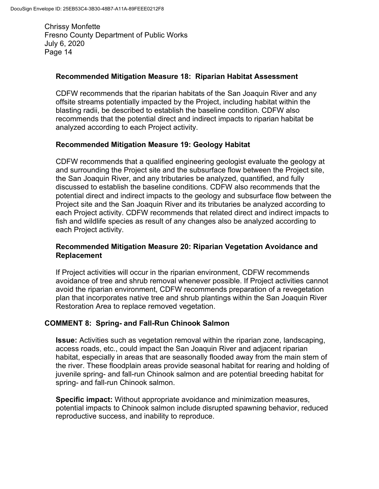### **Recommended Mitigation Measure 18: Riparian Habitat Assessment**

CDFW recommends that the riparian habitats of the San Joaquin River and any offsite streams potentially impacted by the Project, including habitat within the blasting radii, be described to establish the baseline condition. CDFW also recommends that the potential direct and indirect impacts to riparian habitat be analyzed according to each Project activity.

### **Recommended Mitigation Measure 19: Geology Habitat**

CDFW recommends that a qualified engineering geologist evaluate the geology at and surrounding the Project site and the subsurface flow between the Project site, the San Joaquin River, and any tributaries be analyzed, quantified, and fully discussed to establish the baseline conditions. CDFW also recommends that the potential direct and indirect impacts to the geology and subsurface flow between the Project site and the San Joaquin River and its tributaries be analyzed according to each Project activity. CDFW recommends that related direct and indirect impacts to fish and wildlife species as result of any changes also be analyzed according to each Project activity.

### **Recommended Mitigation Measure 20: Riparian Vegetation Avoidance and Replacement**

If Project activities will occur in the riparian environment, CDFW recommends avoidance of tree and shrub removal whenever possible. If Project activities cannot avoid the riparian environment, CDFW recommends preparation of a revegetation plan that incorporates native tree and shrub plantings within the San Joaquin River Restoration Area to replace removed vegetation.

# **COMMENT 8: Spring- and Fall-Run Chinook Salmon**

**Issue:** Activities such as vegetation removal within the riparian zone, landscaping, access roads, etc., could impact the San Joaquin River and adjacent riparian habitat, especially in areas that are seasonally flooded away from the main stem of the river. These floodplain areas provide seasonal habitat for rearing and holding of juvenile spring- and fall-run Chinook salmon and are potential breeding habitat for spring- and fall-run Chinook salmon.

**Specific impact:** Without appropriate avoidance and minimization measures, potential impacts to Chinook salmon include disrupted spawning behavior, reduced reproductive success, and inability to reproduce.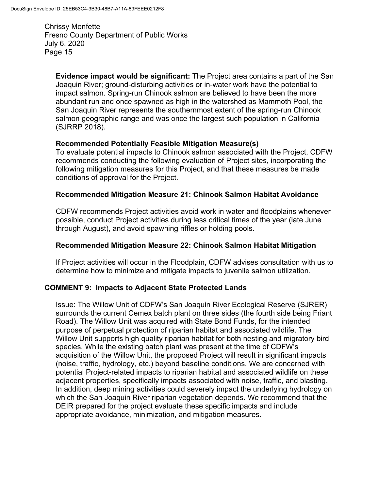**Evidence impact would be significant:** The Project area contains a part of the San Joaquin River; ground-disturbing activities or in-water work have the potential to impact salmon. Spring-run Chinook salmon are believed to have been the more abundant run and once spawned as high in the watershed as Mammoth Pool, the San Joaquin River represents the southernmost extent of the spring-run Chinook salmon geographic range and was once the largest such population in California (SJRRP 2018).

### **Recommended Potentially Feasible Mitigation Measure(s)**

To evaluate potential impacts to Chinook salmon associated with the Project, CDFW recommends conducting the following evaluation of Project sites, incorporating the following mitigation measures for this Project, and that these measures be made conditions of approval for the Project.

### **Recommended Mitigation Measure 21: Chinook Salmon Habitat Avoidance**

CDFW recommends Project activities avoid work in water and floodplains whenever possible, conduct Project activities during less critical times of the year (late June through August), and avoid spawning riffles or holding pools.

### **Recommended Mitigation Measure 22: Chinook Salmon Habitat Mitigation**

If Project activities will occur in the Floodplain, CDFW advises consultation with us to determine how to minimize and mitigate impacts to juvenile salmon utilization.

# **COMMENT 9: Impacts to Adjacent State Protected Lands**

Issue: The Willow Unit of CDFW's San Joaquin River Ecological Reserve (SJRER) surrounds the current Cemex batch plant on three sides (the fourth side being Friant Road). The Willow Unit was acquired with State Bond Funds, for the intended purpose of perpetual protection of riparian habitat and associated wildlife. The Willow Unit supports high quality riparian habitat for both nesting and migratory bird species. While the existing batch plant was present at the time of CDFW's acquisition of the Willow Unit, the proposed Project will result in significant impacts (noise, traffic, hydrology, etc.) beyond baseline conditions. We are concerned with potential Project-related impacts to riparian habitat and associated wildlife on these adjacent properties, specifically impacts associated with noise, traffic, and blasting. In addition, deep mining activities could severely impact the underlying hydrology on which the San Joaquin River riparian vegetation depends. We recommend that the DEIR prepared for the project evaluate these specific impacts and include appropriate avoidance, minimization, and mitigation measures.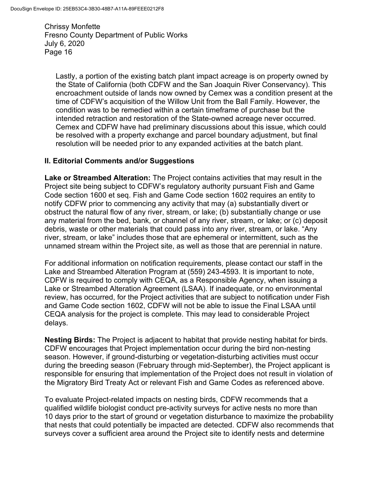Lastly, a portion of the existing batch plant impact acreage is on property owned by the State of California (both CDFW and the San Joaquin River Conservancy). This encroachment outside of lands now owned by Cemex was a condition present at the time of CDFW's acquisition of the Willow Unit from the Ball Family. However, the condition was to be remedied within a certain timeframe of purchase but the intended retraction and restoration of the State-owned acreage never occurred. Cemex and CDFW have had preliminary discussions about this issue, which could be resolved with a property exchange and parcel boundary adjustment, but final resolution will be needed prior to any expanded activities at the batch plant.

#### **II. Editorial Comments and/or Suggestions**

**Lake or Streambed Alteration:** The Project contains activities that may result in the Project site being subject to CDFW's regulatory authority pursuant Fish and Game Code section 1600 et seq. Fish and Game Code section 1602 requires an entity to notify CDFW prior to commencing any activity that may (a) substantially divert or obstruct the natural flow of any river, stream, or lake; (b) substantially change or use any material from the bed, bank, or channel of any river, stream, or lake; or (c) deposit debris, waste or other materials that could pass into any river, stream, or lake. "Any river, stream, or lake" includes those that are ephemeral or intermittent, such as the unnamed stream within the Project site, as well as those that are perennial in nature.

For additional information on notification requirements, please contact our staff in the Lake and Streambed Alteration Program at (559) 243-4593. It is important to note, CDFW is required to comply with CEQA, as a Responsible Agency, when issuing a Lake or Streambed Alteration Agreement (LSAA). If inadequate, or no environmental review, has occurred, for the Project activities that are subject to notification under Fish and Game Code section 1602, CDFW will not be able to issue the Final LSAA until CEQA analysis for the project is complete. This may lead to considerable Project delays.

**Nesting Birds:** The Project is adjacent to habitat that provide nesting habitat for birds. CDFW encourages that Project implementation occur during the bird non-nesting season. However, if ground-disturbing or vegetation-disturbing activities must occur during the breeding season (February through mid-September), the Project applicant is responsible for ensuring that implementation of the Project does not result in violation of the Migratory Bird Treaty Act or relevant Fish and Game Codes as referenced above.

To evaluate Project-related impacts on nesting birds, CDFW recommends that a qualified wildlife biologist conduct pre-activity surveys for active nests no more than 10 days prior to the start of ground or vegetation disturbance to maximize the probability that nests that could potentially be impacted are detected. CDFW also recommends that surveys cover a sufficient area around the Project site to identify nests and determine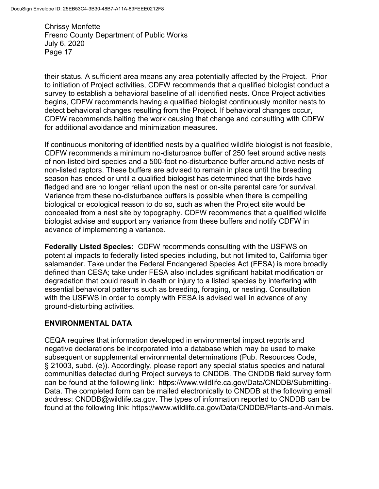their status. A sufficient area means any area potentially affected by the Project. Prior to initiation of Project activities, CDFW recommends that a qualified biologist conduct a survey to establish a behavioral baseline of all identified nests. Once Project activities begins, CDFW recommends having a qualified biologist continuously monitor nests to detect behavioral changes resulting from the Project. If behavioral changes occur, CDFW recommends halting the work causing that change and consulting with CDFW for additional avoidance and minimization measures.

If continuous monitoring of identified nests by a qualified wildlife biologist is not feasible, CDFW recommends a minimum no-disturbance buffer of 250 feet around active nests of non-listed bird species and a 500-foot no-disturbance buffer around active nests of non-listed raptors. These buffers are advised to remain in place until the breeding season has ended or until a qualified biologist has determined that the birds have fledged and are no longer reliant upon the nest or on-site parental care for survival. Variance from these no-disturbance buffers is possible when there is compelling biological or ecological reason to do so, such as when the Project site would be concealed from a nest site by topography. CDFW recommends that a qualified wildlife biologist advise and support any variance from these buffers and notify CDFW in advance of implementing a variance.

**Federally Listed Species:** CDFW recommends consulting with the USFWS on potential impacts to federally listed species including, but not limited to, California tiger salamander. Take under the Federal Endangered Species Act (FESA) is more broadly defined than CESA; take under FESA also includes significant habitat modification or degradation that could result in death or injury to a listed species by interfering with essential behavioral patterns such as breeding, foraging, or nesting. Consultation with the USFWS in order to comply with FESA is advised well in advance of any ground-disturbing activities.

# **ENVIRONMENTAL DATA**

CEQA requires that information developed in environmental impact reports and negative declarations be incorporated into a database which may be used to make subsequent or supplemental environmental determinations (Pub. Resources Code, § 21003, subd. (e)). Accordingly, please report any special status species and natural communities detected during Project surveys to CNDDB. The CNDDB field survey form can be found at the following link: https://www.wildlife.ca.gov/Data/CNDDB/Submitting-Data. The completed form can be mailed electronically to CNDDB at the following email address: CNDDB@wildlife.ca.gov. The types of information reported to CNDDB can be found at the following link: https://www.wildlife.ca.gov/Data/CNDDB/Plants-and-Animals.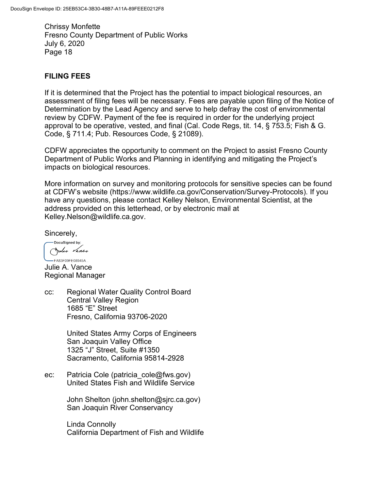### **FILING FEES**

If it is determined that the Project has the potential to impact biological resources, an assessment of filing fees will be necessary. Fees are payable upon filing of the Notice of Determination by the Lead Agency and serve to help defray the cost of environmental review by CDFW. Payment of the fee is required in order for the underlying project approval to be operative, vested, and final (Cal. Code Regs, tit. 14, § 753.5; Fish & G. Code, § 711.4; Pub. Resources Code, § 21089).

CDFW appreciates the opportunity to comment on the Project to assist Fresno County Department of Public Works and Planning in identifying and mitigating the Project's impacts on biological resources.

More information on survey and monitoring protocols for sensitive species can be found at CDFW's website (https://www.wildlife.ca.gov/Conservation/Survey-Protocols). If you have any questions, please contact Kelley Nelson, Environmental Scientist, at the address provided on this letterhead, or by electronic mail at Kelley.Nelson@wildlife.ca.gov.

Sincerely,

-DocuSigned by: Julie Vance

-FA83F09FF08945A Julie A. Vance Regional Manager

cc: Regional Water Quality Control Board Central Valley Region 1685 "E" Street Fresno, California 93706-2020

> United States Army Corps of Engineers San Joaquin Valley Office 1325 "J" Street, Suite #1350 Sacramento, California 95814-2928

ec: Patricia Cole (patricia cole@fws.gov) United States Fish and Wildlife Service

> John Shelton (john.shelton@sjrc.ca.gov) San Joaquin River Conservancy

Linda Connolly California Department of Fish and Wildlife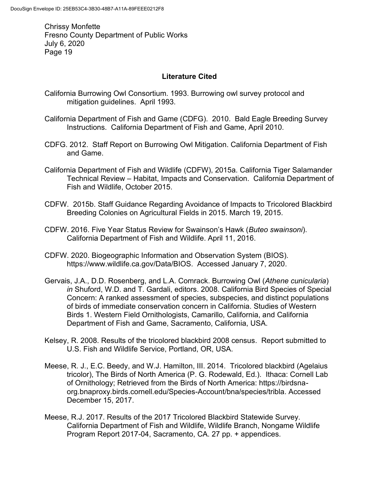### **Literature Cited**

- California Burrowing Owl Consortium. 1993. Burrowing owl survey protocol and mitigation guidelines. April 1993.
- California Department of Fish and Game (CDFG). 2010. Bald Eagle Breeding Survey Instructions. California Department of Fish and Game, April 2010.
- CDFG. 2012. Staff Report on Burrowing Owl Mitigation. California Department of Fish and Game.
- California Department of Fish and Wildlife (CDFW), 2015a. California Tiger Salamander Technical Review – Habitat, Impacts and Conservation. California Department of Fish and Wildlife, October 2015.
- CDFW. 2015b. Staff Guidance Regarding Avoidance of Impacts to Tricolored Blackbird Breeding Colonies on Agricultural Fields in 2015. March 19, 2015.
- CDFW. 2016. Five Year Status Review for Swainson's Hawk (*Buteo swainsoni*). California Department of Fish and Wildlife. April 11, 2016.
- CDFW. 2020. Biogeographic Information and Observation System (BIOS). https://www.wildlife.ca.gov/Data/BIOS. Accessed January 7, 2020.
- Gervais, J.A., D.D. Rosenberg, and L.A. Comrack. Burrowing Owl (*Athene cunicularia*) *in* Shuford, W.D. and T. Gardali, editors. 2008. California Bird Species of Special Concern: A ranked assessment of species, subspecies, and distinct populations of birds of immediate conservation concern in California. Studies of Western Birds 1. Western Field Ornithologists, Camarillo, California, and California Department of Fish and Game, Sacramento, California, USA.
- Kelsey, R. 2008. Results of the tricolored blackbird 2008 census. Report submitted to U.S. Fish and Wildlife Service, Portland, OR, USA.
- Meese, R. J., E.C. Beedy, and W.J. Hamilton, III. 2014. Tricolored blackbird (Agelaius tricolor), The Birds of North America (P. G. Rodewald, Ed.). Ithaca: Cornell Lab of Ornithology; Retrieved from the Birds of North America: https://birdsnaorg.bnaproxy.birds.cornell.edu/Species-Account/bna/species/tribla. Accessed December 15, 2017.
- Meese, R.J. 2017. Results of the 2017 Tricolored Blackbird Statewide Survey. California Department of Fish and Wildlife, Wildlife Branch, Nongame Wildlife Program Report 2017-04, Sacramento, CA. 27 pp. + appendices.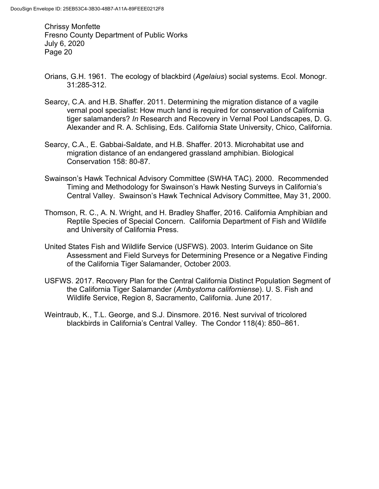- Orians, G.H. 1961. The ecology of blackbird (*Agelaius*) social systems. Ecol. Monogr. 31:285-312.
- Searcy, C.A. and H.B. Shaffer. 2011. Determining the migration distance of a vagile vernal pool specialist: How much land is required for conservation of California tiger salamanders? *In* Research and Recovery in Vernal Pool Landscapes, D. G. Alexander and R. A. Schlising, Eds. California State University, Chico, California.
- Searcy, C.A., E. Gabbai-Saldate, and H.B. Shaffer. 2013. Microhabitat use and migration distance of an endangered grassland amphibian. Biological Conservation 158: 80-87.
- Swainson's Hawk Technical Advisory Committee (SWHA TAC). 2000. Recommended Timing and Methodology for Swainson's Hawk Nesting Surveys in California's Central Valley. Swainson's Hawk Technical Advisory Committee, May 31, 2000.
- Thomson, R. C., A. N. Wright, and H. Bradley Shaffer, 2016. California Amphibian and Reptile Species of Special Concern. California Department of Fish and Wildlife and University of California Press.
- United States Fish and Wildlife Service (USFWS). 2003. Interim Guidance on Site Assessment and Field Surveys for Determining Presence or a Negative Finding of the California Tiger Salamander, October 2003.
- USFWS. 2017. Recovery Plan for the Central California Distinct Population Segment of the California Tiger Salamander (*Ambystoma californiense*). U. S. Fish and Wildlife Service, Region 8, Sacramento, California. June 2017.
- Weintraub, K., T.L. George, and S.J. Dinsmore. 2016. Nest survival of tricolored blackbirds in California's Central Valley. The Condor 118(4): 850–861.